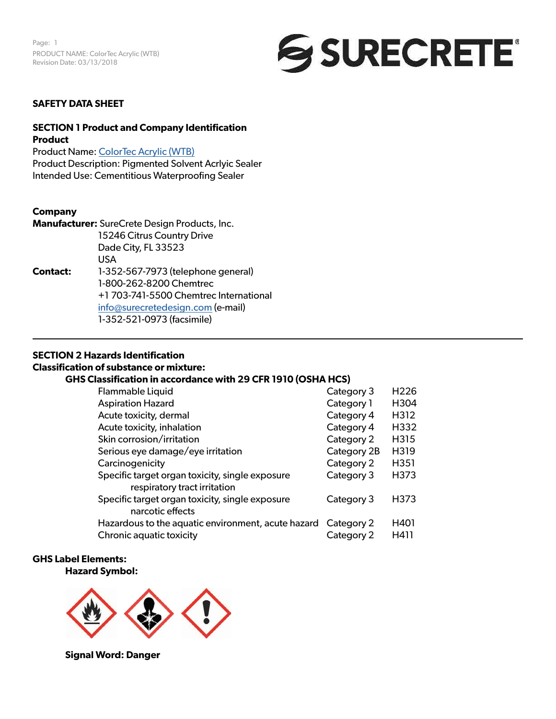

## **SAFETY DATA SHEET**

## **SECTION 1 Product and Company Identification Product**

Product Name: [ColorTec Acrylic \(WTB](https://www.surecretedesign.com/product/exterior-concrete-paint/)) Product Description: Pigmented Solvent Acrlyic Sealer Intended Use: Cementitious Waterproofing Sealer

### **Company**

**Manufacturer:** SureCrete Design Products, Inc. 15246 Citrus Country Drive Dade City, FL 33523 USA **Contact:** 1-352-567-7973 (telephone general) 1-800-262-8200 Chemtrec +1 703-741-5500 Chemtrec International [info@surecretedesign.com](mailto:info%40surecretedesign.com?subject=ColorTec%20Acrylic%20%28WTB%29%20-%20SDS%20Inquiry) (e-mail) 1-352-521-0973 (facsimile)

### **SECTION 2 Hazards Identification**

## **Classification of substance or mixture:**

## **GHS Classification in accordance with 29 CFR 1910 (OSHA HCS)**

| Flammable Liquid                                                                | Category 3  | H <sub>226</sub>  |
|---------------------------------------------------------------------------------|-------------|-------------------|
| <b>Aspiration Hazard</b>                                                        | Category 1  | H304              |
| Acute toxicity, dermal                                                          | Category 4  | H312              |
| Acute toxicity, inhalation                                                      | Category 4  | H332              |
| Skin corrosion/irritation                                                       | Category 2  | H315              |
| Serious eye damage/eye irritation                                               | Category 2B | H319              |
| Carcinogenicity                                                                 | Category 2  | H <sub>35</sub> 1 |
| Specific target organ toxicity, single exposure<br>respiratory tract irritation | Category 3  | H373              |
| Specific target organ toxicity, single exposure<br>narcotic effects             | Category 3  | H373              |
| Hazardous to the aquatic environment, acute hazard Category 2                   |             | H401              |
| Chronic aquatic toxicity                                                        | Category 2  | H411              |

#### **GHS Label Elements:**

#### **Hazard Symbol:**



**Signal Word: Danger**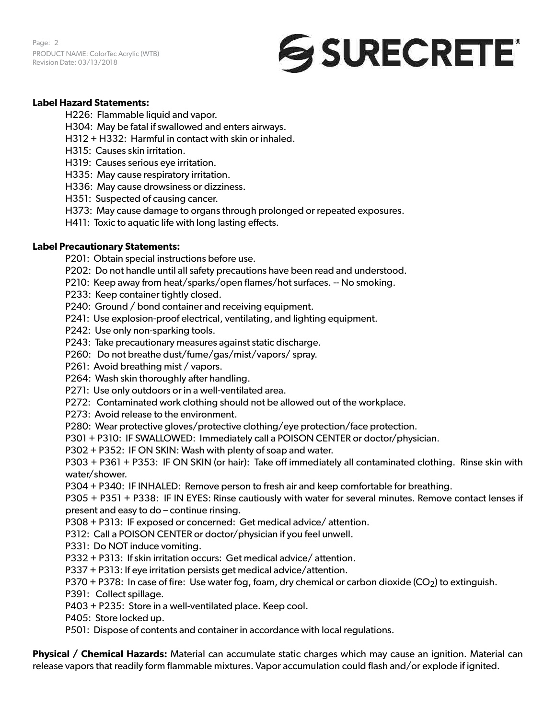Page: 2 PRODUCT NAME: ColorTec Acrylic (WTB) Revision Date: 03/13/2018



## **Label Hazard Statements:**

H226: Flammable liquid and vapor.

- H304: May be fatal if swallowed and enters airways.
- H312 + H332: Harmful in contact with skin or inhaled.
- H315: Causes skin irritation.
- H319: Causes serious eye irritation.
- H335: May cause respiratory irritation.
- H336: May cause drowsiness or dizziness.
- H351: Suspected of causing cancer.
- H373: May cause damage to organs through prolonged or repeated exposures.
- H411: Toxic to aquatic life with long lasting effects.

### **Label Precautionary Statements:**

P201: Obtain special instructions before use.

- P202: Do not handle until all safety precautions have been read and understood.
- P210: Keep away from heat/sparks/open flames/hot surfaces. -- No smoking.
- P233: Keep container tightly closed.
- P240: Ground / bond container and receiving equipment.
- P241: Use explosion-proof electrical, ventilating, and lighting equipment.
- P242: Use only non-sparking tools.
- P243: Take precautionary measures against static discharge.
- P260: Do not breathe dust/fume/gas/mist/vapors/ spray.
- P261: Avoid breathing mist / vapors.
- P264: Wash skin thoroughly after handling.
- P271: Use only outdoors or in a well-ventilated area.
- P272: Contaminated work clothing should not be allowed out of the workplace.
- P273: Avoid release to the environment.
- P280: Wear protective gloves/protective clothing/eye protection/face protection.
- P301 + P310: IF SWALLOWED: Immediately call a POISON CENTER or doctor/physician.
- P302 + P352: IF ON SKIN: Wash with plenty of soap and water.

P303 + P361 + P353: IF ON SKIN (or hair): Take off immediately all contaminated clothing. Rinse skin with water/shower.

P304 + P340: IF INHALED: Remove person to fresh air and keep comfortable for breathing.

P305 + P351 + P338: IF IN EYES: Rinse cautiously with water for several minutes. Remove contact lenses if present and easy to do – continue rinsing.

P308 + P313: IF exposed or concerned: Get medical advice/ attention.

P312: Call a POISON CENTER or doctor/physician if you feel unwell.

- P331: Do NOT induce vomiting.
- P332 + P313: If skin irritation occurs: Get medical advice/ attention.
- P337 + P313: If eye irritation persists get medical advice/attention.

P370 + P378: In case of fire: Use water fog, foam, dry chemical or carbon dioxide (CO<sub>2</sub>) to extinguish.

- P391: Collect spillage.
- P403 + P235: Store in a well-ventilated place. Keep cool.
- P405: Store locked up.
- P501: Dispose of contents and container in accordance with local regulations.

**Physical / Chemical Hazards:** Material can accumulate static charges which may cause an ignition. Material can release vapors that readily form flammable mixtures. Vapor accumulation could flash and/or explode if ignited.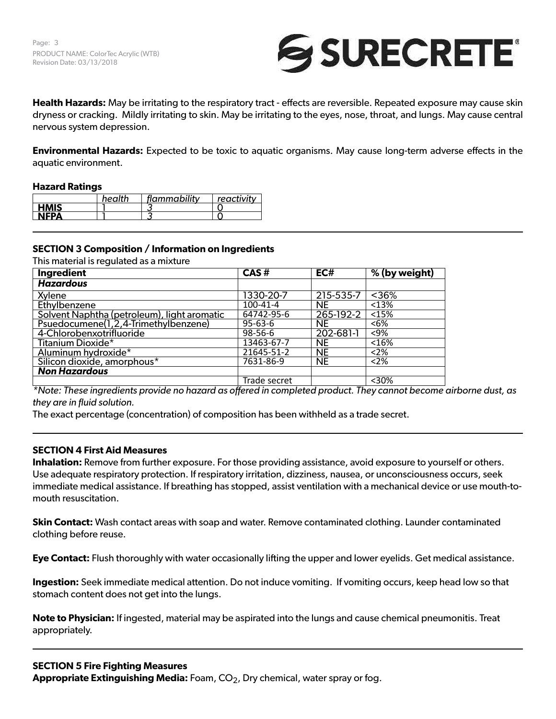

**Health Hazards:** May be irritating to the respiratory tract - effects are reversible. Repeated exposure may cause skin dryness or cracking. Mildly irritating to skin. May be irritating to the eyes, nose, throat, and lungs. May cause central nervous system depression.

**Environmental Hazards:** Expected to be toxic to aquatic organisms. May cause long-term adverse effects in the aquatic environment.

### **Hazard Ratings**

|             | health | flammability | reactivity |
|-------------|--------|--------------|------------|
| <b>HMIS</b> |        |              |            |
| <b>NEPA</b> |        |              |            |

## **SECTION 3 Composition / Information on Ingredients**

This material is regulated as a mixture

| Ingredient                                  | CAS#          | EC#       | % (by weight) |
|---------------------------------------------|---------------|-----------|---------------|
| <b>Hazardous</b>                            |               |           |               |
| Xylene                                      | 1330-20-7     | 215-535-7 | $< 36\%$      |
| Ethylbenzene                                | 100-41-4      | <b>NE</b> | < 13%         |
| Solvent Naphtha (petroleum), light aromatic | 64742-95-6    | 265-192-2 | <15%          |
| Psuedocumene(1,2,4-Trimethylbenzene)        | $95 - 63 - 6$ | <b>NE</b> | $6%$          |
| 4-Chlorobenxotrifluoride                    | $98 - 56 - 6$ | 202-681-1 | $< 9\%$       |
| Titanium Dioxide*                           | 13463-67-7    | <b>NE</b> | < 16%         |
| Aluminum hydroxide*                         | 21645-51-2    | NE        | $<$ 2%        |
| Silicon dioxide, amorphous*                 | 7631-86-9     | <b>NE</b> | < 2%          |
| <b>Non Hazardous</b>                        |               |           |               |
|                                             | Trade secret  |           | $<$ 30%       |

*\*Note: These ingredients provide no hazard as offered in completed product. They cannot become airborne dust, as they are in fluid solution.*

The exact percentage (concentration) of composition has been withheld as a trade secret.

#### **SECTION 4 First Aid Measures**

**Inhalation:** Remove from further exposure. For those providing assistance, avoid exposure to yourself or others. Use adequate respiratory protection. If respiratory irritation, dizziness, nausea, or unconsciousness occurs, seek immediate medical assistance. If breathing has stopped, assist ventilation with a mechanical device or use mouth-tomouth resuscitation.

**Skin Contact:** Wash contact areas with soap and water. Remove contaminated clothing. Launder contaminated clothing before reuse.

**Eye Contact:** Flush thoroughly with water occasionally lifting the upper and lower eyelids. Get medical assistance.

**Ingestion:** Seek immediate medical attention. Do not induce vomiting. If vomiting occurs, keep head low so that stomach content does not get into the lungs.

**Note to Physician:** If ingested, material may be aspirated into the lungs and cause chemical pneumonitis. Treat appropriately.

#### **SECTION 5 Fire Fighting Measures**

Appropriate Extinguishing Media: Foam, CO<sub>2</sub>, Dry chemical, water spray or fog.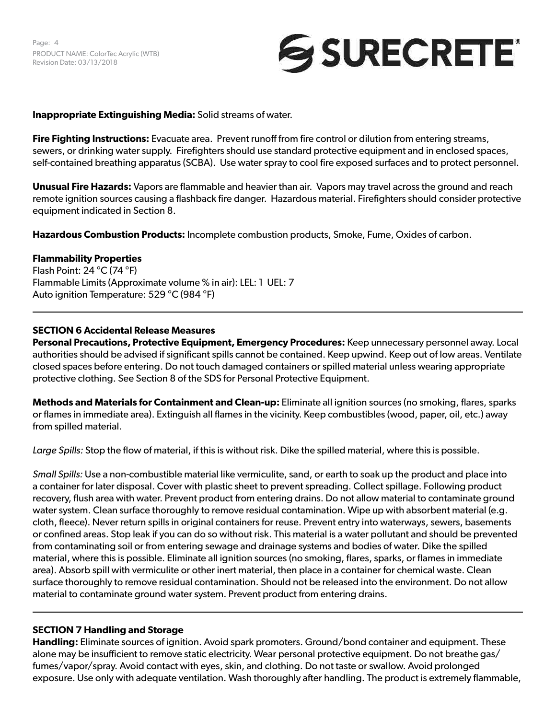# SURECRETE®

## **Inappropriate Extinguishing Media:** Solid streams of water.

**Fire Fighting Instructions:** Evacuate area. Prevent runoff from fire control or dilution from entering streams, sewers, or drinking water supply. Firefighters should use standard protective equipment and in enclosed spaces, self-contained breathing apparatus (SCBA). Use water spray to cool fire exposed surfaces and to protect personnel.

**Unusual Fire Hazards:** Vapors are flammable and heavier than air. Vapors may travel across the ground and reach remote ignition sources causing a flashback fire danger. Hazardous material. Firefighters should consider protective equipment indicated in Section 8.

**Hazardous Combustion Products:** Incomplete combustion products, Smoke, Fume, Oxides of carbon.

## **Flammability Properties**

Flash Point: 24 °C (74 °F) Flammable Limits (Approximate volume % in air): LEL: 1 UEL: 7 Auto ignition Temperature: 529 °C (984 °F)

## **SECTION 6 Accidental Release Measures**

**Personal Precautions, Protective Equipment, Emergency Procedures:** Keep unnecessary personnel away. Local authorities should be advised if significant spills cannot be contained. Keep upwind. Keep out of low areas. Ventilate closed spaces before entering. Do not touch damaged containers or spilled material unless wearing appropriate protective clothing. See Section 8 of the SDS for Personal Protective Equipment.

**Methods and Materials for Containment and Clean-up:** Eliminate all ignition sources (no smoking, flares, sparks or flames in immediate area). Extinguish all flames in the vicinity. Keep combustibles (wood, paper, oil, etc.) away from spilled material.

*Large Spills:* Stop the flow of material, if this is without risk. Dike the spilled material, where this is possible.

*Small Spills:* Use a non-combustible material like vermiculite, sand, or earth to soak up the product and place into a container for later disposal. Cover with plastic sheet to prevent spreading. Collect spillage. Following product recovery, flush area with water. Prevent product from entering drains. Do not allow material to contaminate ground water system. Clean surface thoroughly to remove residual contamination. Wipe up with absorbent material (e.g. cloth, fleece). Never return spills in original containers for reuse. Prevent entry into waterways, sewers, basements or confined areas. Stop leak if you can do so without risk. This material is a water pollutant and should be prevented from contaminating soil or from entering sewage and drainage systems and bodies of water. Dike the spilled material, where this is possible. Eliminate all ignition sources (no smoking, flares, sparks, or flames in immediate area). Absorb spill with vermiculite or other inert material, then place in a container for chemical waste. Clean surface thoroughly to remove residual contamination. Should not be released into the environment. Do not allow material to contaminate ground water system. Prevent product from entering drains.

## **SECTION 7 Handling and Storage**

**Handling:** Eliminate sources of ignition. Avoid spark promoters. Ground/bond container and equipment. These alone may be insufficient to remove static electricity. Wear personal protective equipment. Do not breathe gas/ fumes/vapor/spray. Avoid contact with eyes, skin, and clothing. Do not taste or swallow. Avoid prolonged exposure. Use only with adequate ventilation. Wash thoroughly after handling. The product is extremely flammable,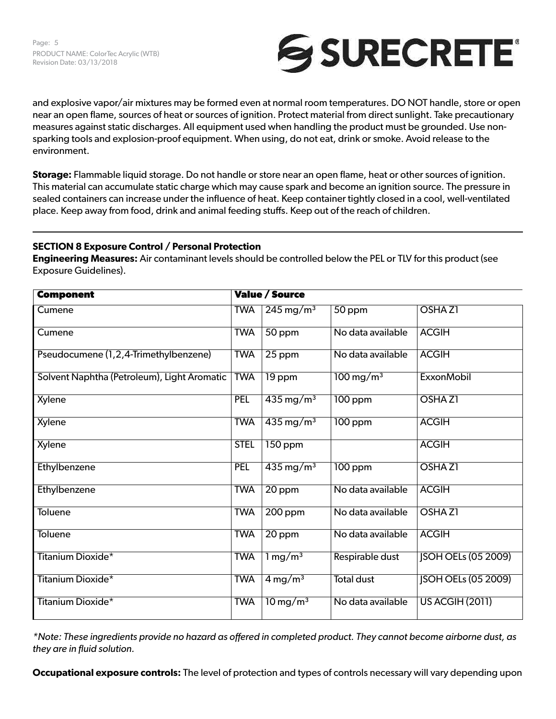

and explosive vapor/air mixtures may be formed even at normal room temperatures. DO NOT handle, store or open near an open flame, sources of heat or sources of ignition. Protect material from direct sunlight. Take precautionary measures against static discharges. All equipment used when handling the product must be grounded. Use nonsparking tools and explosion-proof equipment. When using, do not eat, drink or smoke. Avoid release to the environment.

**Storage:** Flammable liquid storage. Do not handle or store near an open flame, heat or other sources of ignition. This material can accumulate static charge which may cause spark and become an ignition source. The pressure in sealed containers can increase under the influence of heat. Keep container tightly closed in a cool, well-ventilated place. Keep away from food, drink and animal feeding stuffs. Keep out of the reach of children.

## **SECTION 8 Exposure Control / Personal Protection**

**Engineering Measures:** Air contaminant levels should be controlled below the PEL or TLV for this product (see Exposure Guidelines).

| <b>Component</b>                            |             | <b>Value / Source</b>              |                         |                            |
|---------------------------------------------|-------------|------------------------------------|-------------------------|----------------------------|
| Cumene                                      | <b>TWA</b>  | $\overline{245}$ mg/m <sup>3</sup> | 50 ppm                  | OSHA <sub>Z1</sub>         |
| Cumene                                      | <b>TWA</b>  | $50$ ppm                           | No data available       | <b>ACGIH</b>               |
| Pseudocumene (1,2,4-Trimethylbenzene)       | <b>TWA</b>  | 25 ppm                             | No data available       | <b>ACGIH</b>               |
| Solvent Naphtha (Petroleum), Light Aromatic | <b>TWA</b>  | 19 ppm                             | $100 \,\mathrm{mg/m^3}$ | <b>ExxonMobil</b>          |
| Xylene                                      | <b>PEL</b>  | $435 \,\mathrm{mg/m^3}$            | $100$ ppm               | OSHA <sub>Z1</sub>         |
| <b>Xylene</b>                               | <b>TWA</b>  | $435 \,\mathrm{mg/m^3}$            | 100 ppm                 | <b>ACGIH</b>               |
| Xylene                                      | <b>STEL</b> | $150$ ppm                          |                         | <b>ACGIH</b>               |
| Ethylbenzene                                | <b>PEL</b>  | $435 \,\mathrm{mg/m^3}$            | 100 ppm                 | <b>OSHAZ1</b>              |
| Ethylbenzene                                | <b>TWA</b>  | 20 ppm                             | No data available       | <b>ACGIH</b>               |
| Toluene                                     | <b>TWA</b>  | $200$ ppm                          | No data available       | OSHA <sub>Z1</sub>         |
| <b>Toluene</b>                              | <b>TWA</b>  | 20 ppm                             | No data available       | <b>ACGIH</b>               |
| <b>Titanium Dioxide*</b>                    | <b>TWA</b>  | $1 \,\mathrm{mg/m^3}$              | Respirable dust         | <b>JSOH OELs (05 2009)</b> |
| <b>Titanium Dioxide*</b>                    | <b>TWA</b>  | $4 \,\mathrm{mg/m^3}$              | <b>Total dust</b>       | <b>JSOH OELs (05 2009)</b> |
| <b>Titanium Dioxide*</b>                    | <b>TWA</b>  | $10 \,\mathrm{mg/m^3}$             | No data available       | <b>US ACGIH (2011)</b>     |

*\*Note: These ingredients provide no hazard as offered in completed product. They cannot become airborne dust, as they are in fluid solution.*

**Occupational exposure controls:** The level of protection and types of controls necessary will vary depending upon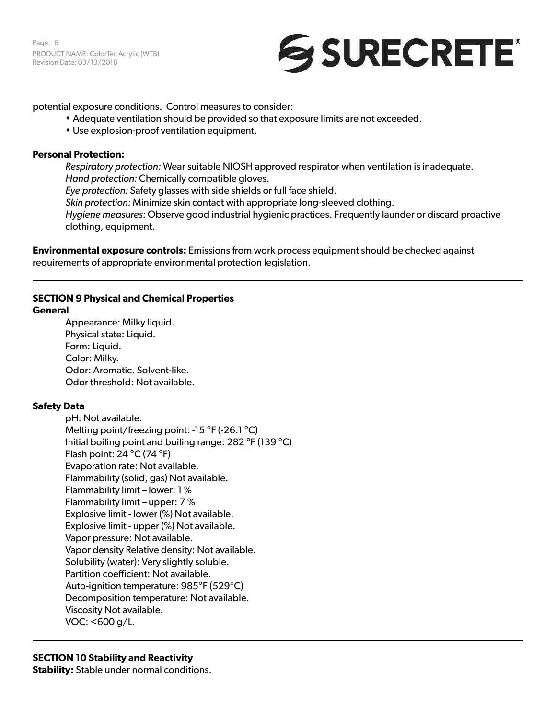Page: 6 PRODUCT NAME: ColorTec Acrylic (WTB) Revision Date: 03/13/2018



potential exposure conditions. Control measures to consider:

- Adequate ventilation should be provided so that exposure limits are not exceeded.
- Use explosion-proof ventilation equipment.

## **Personal Protection:**

*Respiratory protection:* Wear suitable NIOSH approved respirator when ventilation is inadequate. *Hand protection:* Chemically compatible gloves. *Eye protection:* Safety glasses with side shields or full face shield. *Skin protection:* Minimize skin contact with appropriate long-sleeved clothing. *Hygiene measures:* Observe good industrial hygienic practices. Frequently launder or discard proactive clothing, equipment.

**Environmental exposure controls:** Emissions from work process equipment should be checked against requirements of appropriate environmental protection legislation.

## **SECTION 9 Physical and Chemical Properties**

## **General**

Appearance: Milky liquid. Physical state: Liquid. Form: Liquid. Color: Milky. Odor: Aromatic. Solvent-like. Odor threshold: Not available.

## **Safety Data**

pH: Not available. Melting point/freezing point: -15 °F (-26.1 °C) Initial boiling point and boiling range: 282 °F (139 °C) Flash point: 24 °C (74 °F) Evaporation rate: Not available. Flammability (solid, gas) Not available. Flammability limit – lower: 1 % Flammability limit – upper: 7 % Explosive limit - lower (%) Not available. Explosive limit - upper (%) Not available. Vapor pressure: Not available. Vapor density Relative density: Not available. Solubility (water): Very slightly soluble. Partition coefficient: Not available. Auto-ignition temperature: 985°F (529°C) Decomposition temperature: Not available. Viscosity Not available. VOC: <600 g/L.

## **SECTION 10 Stability and Reactivity**

**Stability:** Stable under normal conditions.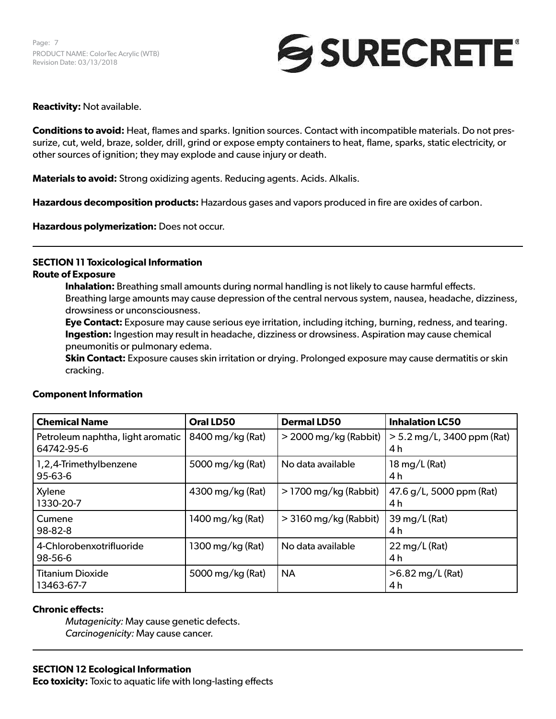

## **Reactivity:** Not available.

**Conditions to avoid:** Heat, flames and sparks. Ignition sources. Contact with incompatible materials. Do not pressurize, cut, weld, braze, solder, drill, grind or expose empty containers to heat, flame, sparks, static electricity, or other sources of ignition; they may explode and cause injury or death.

**Materials to avoid:** Strong oxidizing agents. Reducing agents. Acids. Alkalis.

**Hazardous decomposition products:** Hazardous gases and vapors produced in fire are oxides of carbon.

**Hazardous polymerization:** Does not occur.

## **SECTION 11 Toxicological Information**

### **Route of Exposure**

**Inhalation:** Breathing small amounts during normal handling is not likely to cause harmful effects. Breathing large amounts may cause depression of the central nervous system, nausea, headache, dizziness, drowsiness or unconsciousness.

**Eye Contact:** Exposure may cause serious eye irritation, including itching, burning, redness, and tearing. **Ingestion:** Ingestion may result in headache, dizziness or drowsiness. Aspiration may cause chemical pneumonitis or pulmonary edema.

**Skin Contact:** Exposure causes skin irritation or drying. Prolonged exposure may cause dermatitis or skin cracking.

| <b>Chemical Name</b>                            | Oral LD50        | <b>Dermal LD50</b>      | <b>Inhalation LC50</b>              |
|-------------------------------------------------|------------------|-------------------------|-------------------------------------|
| Petroleum naphtha, light aromatic<br>64742-95-6 | 8400 mg/kg (Rat) | $>$ 2000 mg/kg (Rabbit) | $> 5.2$ mg/L, 3400 ppm (Rat)<br>4 h |
| 1,2,4-Trimethylbenzene<br>$95 - 63 - 6$         | 5000 mg/kg (Rat) | No data available       | $18 \,\mathrm{mg/L}$ (Rat)<br>4 h   |
| Xylene<br>1330-20-7                             | 4300 mg/kg (Rat) | $>$ 1700 mg/kg (Rabbit) | 47.6 g/L, 5000 ppm (Rat)<br>4 h     |
| Cumene<br>$98 - 82 - 8$                         | 1400 mg/kg (Rat) | $>$ 3160 mg/kg (Rabbit) | 39 mg/L (Rat)<br>4 h                |
| 4-Chlorobenxotrifluoride<br>98-56-6             | 1300 mg/kg (Rat) | No data available       | $22 \,\mathrm{mg/L}$ (Rat)<br>4 h   |
| <b>Titanium Dioxide</b><br>13463-67-7           | 5000 mg/kg (Rat) | <b>NA</b>               | $>6.82$ mg/L (Rat)<br>4 h           |

## **Component Information**

## **Chronic effects:**

*Mutagenicity:* May cause genetic defects. *Carcinogenicity:* May cause cancer.

## **SECTION 12 Ecological Information**

**Eco toxicity:** Toxic to aquatic life with long-lasting effects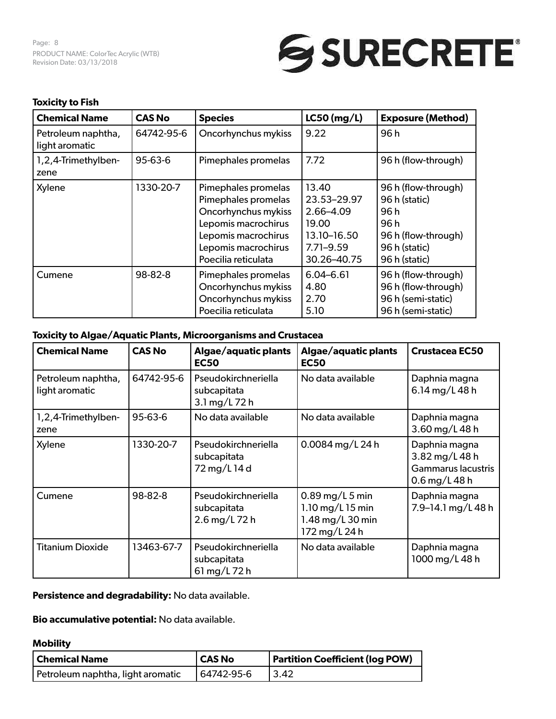Page: 8 PRODUCT NAME: ColorTec Acrylic (WTB) Revision Date: 03/13/2018



## **Toxicity to Fish**

| <b>Chemical Name</b>                 | <b>CAS No</b> | <b>Species</b>                                                                                                                                                | $LC50$ (mg/L)                                                                             | <b>Exposure (Method)</b>                                                                                      |
|--------------------------------------|---------------|---------------------------------------------------------------------------------------------------------------------------------------------------------------|-------------------------------------------------------------------------------------------|---------------------------------------------------------------------------------------------------------------|
| Petroleum naphtha,<br>light aromatic | 64742-95-6    | Oncorhynchus mykiss                                                                                                                                           | 9.22                                                                                      | 96 h                                                                                                          |
| 1,2,4-Trimethylben-<br>zene          | 95-63-6       | Pimephales promelas                                                                                                                                           | 7.72                                                                                      | 96 h (flow-through)                                                                                           |
| Xylene                               | 1330-20-7     | Pimephales promelas<br>Pimephales promelas<br>Oncorhynchus mykiss<br>Lepomis macrochirus<br>Lepomis macrochirus<br>Lepomis macrochirus<br>Poecilia reticulata | 13.40<br>23.53-29.97<br>2.66-4.09<br>19.00<br>13.10-16.50<br>$7.71 - 9.59$<br>30.26-40.75 | 96 h (flow-through)<br>96 h (static)<br>96 h<br>96 h<br>96 h (flow-through)<br>96 h (static)<br>96 h (static) |
| Cumene                               | 98-82-8       | Pimephales promelas<br>Oncorhynchus mykiss<br>Oncorhynchus mykiss<br>Poecilia reticulata                                                                      | $6.04 - 6.61$<br>4.80<br>2.70<br>5.10                                                     | 96 h (flow-through)<br>96 h (flow-through)<br>96 h (semi-static)<br>96 h (semi-static)                        |

## **Toxicity to Algae/Aquatic Plants, Microorganisms and Crustacea**

| <b>Chemical Name</b>                 | <b>CAS No</b> | Algae/aquatic plants<br><b>EC50</b>                 | Algae/aquatic plants<br><b>EC50</b>                                        | <b>Crustacea EC50</b>                                                    |
|--------------------------------------|---------------|-----------------------------------------------------|----------------------------------------------------------------------------|--------------------------------------------------------------------------|
| Petroleum naphtha,<br>light aromatic | 64742-95-6    | Pseudokirchneriella<br>subcapitata<br>3.1 mg/L 72 h | No data available                                                          | Daphnia magna<br>6.14 mg/L 48 h                                          |
| 1,2,4-Trimethylben-<br>zene          | 95-63-6       | No data available                                   | No data available                                                          | Daphnia magna<br>3.60 mg/L 48 h                                          |
| Xylene                               | 1330-20-7     | Pseudokirchneriella<br>subcapitata<br>72 mg/L 14 d  | 0.0084 mg/L 24 h                                                           | Daphnia magna<br>3.82 mg/L 48 h<br>Gammarus lacustris<br>$0.6$ mg/L 48 h |
| Cumene                               | 98-82-8       | Pseudokirchneriella<br>subcapitata<br>2.6 mg/L 72 h | $0.89$ mg/L 5 min<br>1.10 mg/L 15 min<br>1.48 mg/L 30 min<br>172 mg/L 24 h | Daphnia magna<br>7.9-14.1 mg/L 48 h                                      |
| <b>Titanium Dioxide</b>              | 13463-67-7    | Pseudokirchneriella<br>subcapitata<br>61 mg/L 72 h  | No data available                                                          | Daphnia magna<br>1000 mg/L 48 h                                          |

## **Persistence and degradability:** No data available.

**Bio accumulative potential:** No data available.

## **Mobility**

| Chemical Name                     | <b>CAS No</b> | <b>Partition Coefficient (log POW)</b> |
|-----------------------------------|---------------|----------------------------------------|
| Petroleum naphtha, light aromatic | 64742-95-6    | 13.42                                  |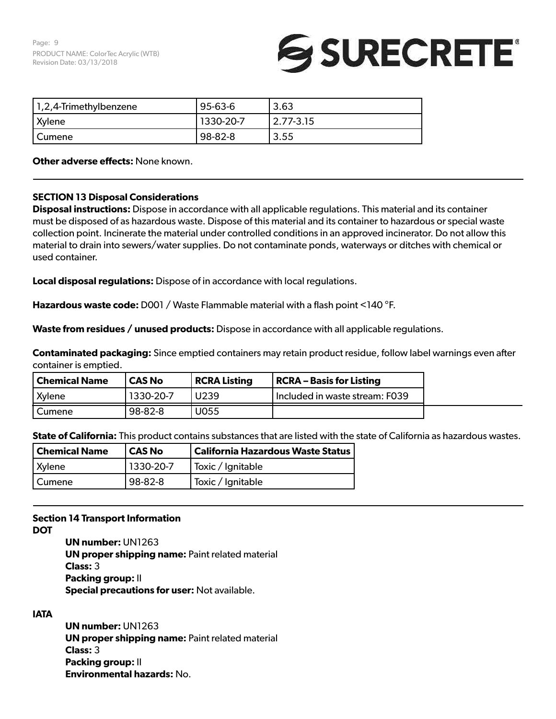# SURECRETE®

| 1,2,4-Trimethylbenzene | 95-63-6   | 3.63          |
|------------------------|-----------|---------------|
| <b>Xylene</b>          | 1330-20-7 | $2.77 - 3.15$ |
| l Cumene               | 98-82-8   | 3.55          |

**Other adverse effects:** None known.

## **SECTION 13 Disposal Considerations**

**Disposal instructions:** Dispose in accordance with all applicable regulations. This material and its container must be disposed of as hazardous waste. Dispose of this material and its container to hazardous or special waste collection point. Incinerate the material under controlled conditions in an approved incinerator. Do not allow this material to drain into sewers/water supplies. Do not contaminate ponds, waterways or ditches with chemical or used container.

**Local disposal regulations:** Dispose of in accordance with local regulations.

**Hazardous waste code:** D001 / Waste Flammable material with a flash point <140 °F.

**Waste from residues / unused products:** Dispose in accordance with all applicable regulations.

**Contaminated packaging:** Since emptied containers may retain product residue, follow label warnings even after container is emptied.

| <b>Chemical Name</b> | CAS No    | <b>RCRA Listing</b> | RCRA – Basis for Listing       |
|----------------------|-----------|---------------------|--------------------------------|
| Xylene               | 1330-20-7 | U239                | Included in waste stream: F039 |
| Cumene               | $98-82-8$ | U055                |                                |

**State of California:** This product contains substances that are listed with the state of California as hazardous wastes.

| <b>Chemical Name</b> | CAS No    | <b>California Hazardous Waste Status</b> |
|----------------------|-----------|------------------------------------------|
| <b>Xylene</b>        | 1330-20-7 | Toxic / Ignitable                        |
| Cumene               | 98-82-8   | Toxic / Ignitable                        |

## **Section 14 Transport Information**

**DOT**

**UN number:** UN1263 **UN proper shipping name: Paint related material Class:** 3 **Packing group:** II **Special precautions for user:** Not available.

## **IATA**

**UN number:** UN1263 **UN proper shipping name: Paint related material Class:** 3 **Packing group:** II **Environmental hazards:** No.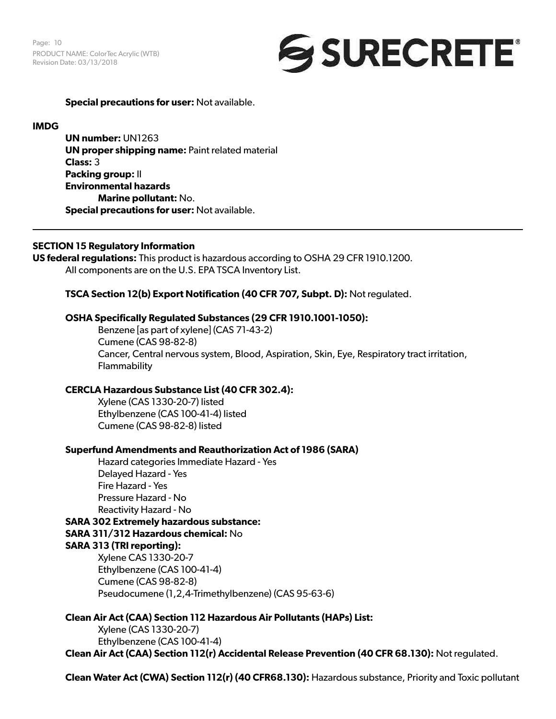Page: 10 PRODUCT NAME: ColorTec Acrylic (WTB) Revision Date: 03/13/2018



**Special precautions for user:** Not available.

### **IMDG**

**UN number:** UN1263 **UN proper shipping name: Paint related material Class:** 3 **Packing group:** II **Environmental hazards Marine pollutant:** No. **Special precautions for user:** Not available.

### **SECTION 15 Regulatory Information**

**US federal regulations:** This product is hazardous according to OSHA 29 CFR 1910.1200. All components are on the U.S. EPA TSCA Inventory List.

**TSCA Section 12(b) Export Notification (40 CFR 707, Subpt. D):** Not regulated.

#### **OSHA Specifically Regulated Substances (29 CFR 1910.1001-1050):**

Benzene [as part of xylene] (CAS 71-43-2) Cumene (CAS 98-82-8) Cancer, Central nervous system, Blood, Aspiration, Skin, Eye, Respiratory tract irritation, Flammability

## **CERCLA Hazardous Substance List (40 CFR 302.4):**

Xylene (CAS 1330-20-7) listed Ethylbenzene (CAS 100-41-4) listed Cumene (CAS 98-82-8) listed

#### **Superfund Amendments and Reauthorization Act of 1986 (SARA)**

Hazard categories Immediate Hazard - Yes Delayed Hazard - Yes Fire Hazard - Yes Pressure Hazard - No Reactivity Hazard - No **SARA 302 Extremely hazardous substance:**

**SARA 311/312 Hazardous chemical:** No **SARA 313 (TRI reporting):** 

Xylene CAS 1330-20-7 Ethylbenzene (CAS 100-41-4) Cumene (CAS 98-82-8) Pseudocumene (1,2,4-Trimethylbenzene) (CAS 95-63-6)

## **Clean Air Act (CAA) Section 112 Hazardous Air Pollutants (HAPs) List:**

Xylene (CAS 1330-20-7) Ethylbenzene (CAS 100-41-4) **Clean Air Act (CAA) Section 112(r) Accidental Release Prevention (40 CFR 68.130):** Not regulated.

**Clean Water Act (CWA) Section 112(r) (40 CFR68.130):** Hazardous substance, Priority and Toxic pollutant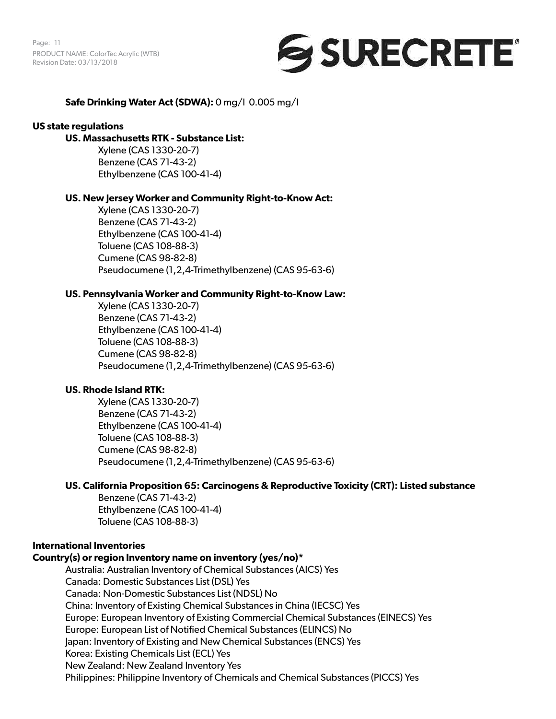Page: 11 PRODUCT NAME: ColorTec Acrylic (WTB) Revision Date: 03/13/2018



## **Safe Drinking Water Act (SDWA):** 0 mg/l 0.005 mg/l

#### **US state regulations**

## **US. Massachusetts RTK - Substance List:**

Xylene (CAS 1330-20-7) Benzene (CAS 71-43-2) Ethylbenzene (CAS 100-41-4)

#### **US. New Jersey Worker and Community Right-to-Know Act:**

Xylene (CAS 1330-20-7) Benzene (CAS 71-43-2) Ethylbenzene (CAS 100-41-4) Toluene (CAS 108-88-3) Cumene (CAS 98-82-8) Pseudocumene (1,2,4-Trimethylbenzene) (CAS 95-63-6)

### **US. Pennsylvania Worker and Community Right-to-Know Law:**

Xylene (CAS 1330-20-7) Benzene (CAS 71-43-2) Ethylbenzene (CAS 100-41-4) Toluene (CAS 108-88-3) Cumene (CAS 98-82-8) Pseudocumene (1,2,4-Trimethylbenzene) (CAS 95-63-6)

#### **US. Rhode Island RTK:**

Xylene (CAS 1330-20-7) Benzene (CAS 71-43-2) Ethylbenzene (CAS 100-41-4) Toluene (CAS 108-88-3) Cumene (CAS 98-82-8) Pseudocumene (1,2,4-Trimethylbenzene) (CAS 95-63-6)

## **US. California Proposition 65: Carcinogens & Reproductive Toxicity (CRT): Listed substance**

Benzene (CAS 71-43-2) Ethylbenzene (CAS 100-41-4) Toluene (CAS 108-88-3)

## **International Inventories**

## **Country(s) or region Inventory name on inventory (yes/no)\***

Australia: Australian Inventory of Chemical Substances (AICS) Yes Canada: Domestic Substances List (DSL) Yes Canada: Non-Domestic Substances List (NDSL) No China: Inventory of Existing Chemical Substances in China (IECSC) Yes Europe: European Inventory of Existing Commercial Chemical Substances (EINECS) Yes Europe: European List of Notified Chemical Substances (ELINCS) No Japan: Inventory of Existing and New Chemical Substances (ENCS) Yes Korea: Existing Chemicals List (ECL) Yes New Zealand: New Zealand Inventory Yes Philippines: Philippine Inventory of Chemicals and Chemical Substances (PICCS) Yes